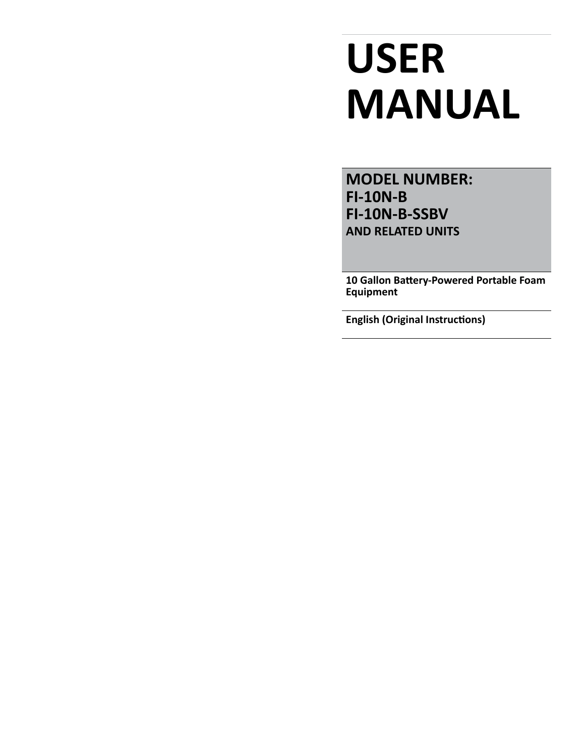# **USER MANUAL**

**MODEL NUMBER: FI-10N-B FI-10N-B-SSBV AND RELATED UNITS**

**10 Gallon Battery-Powered Portable Foam Equipment**

**English (Original Instructions)**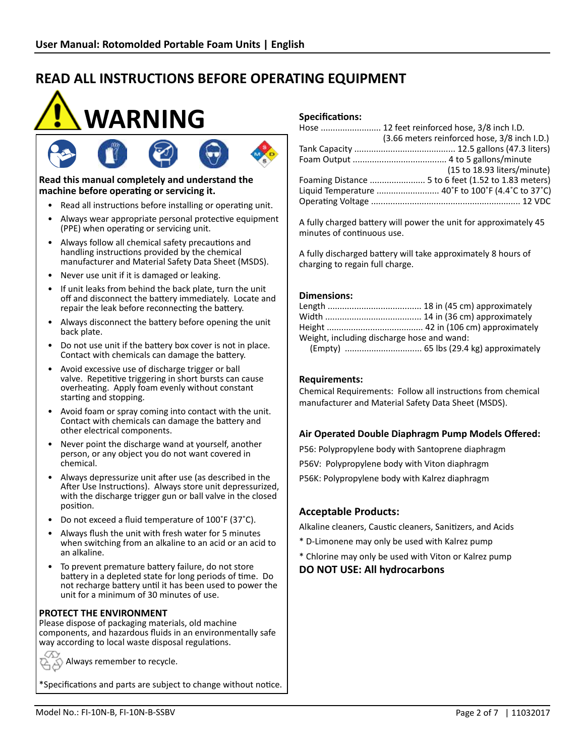



## **Read this manual completely and understand the machine before operating or servicing it.**

- Read all instructions before installing or operating unit.
- Always wear appropriate personal protective equipment (PPE) when operating or servicing unit.
- Always follow all chemical safety precautions and handling instructions provided by the chemical manufacturer and Material Safety Data Sheet (MSDS).
- Never use unit if it is damaged or leaking.
- If unit leaks from behind the back plate, turn the unit off and disconnect the battery immediately. Locate and repair the leak before reconnecting the battery.
- Always disconnect the battery before opening the unit back plate.
- Do not use unit if the battery box cover is not in place. Contact with chemicals can damage the battery.
- Avoid excessive use of discharge trigger or ball valve. Repetitive triggering in short bursts can cause overheating. Apply foam evenly without constant starting and stopping.
- Avoid foam or spray coming into contact with the unit. Contact with chemicals can damage the battery and other electrical components.
- Never point the discharge wand at yourself, another person, or any object you do not want covered in chemical.
- Always depressurize unit after use (as described in the After Use Instructions). Always store unit depressurized, with the discharge trigger gun or ball valve in the closed position.
- Do not exceed a fluid temperature of 100˚F (37˚C).
- Always flush the unit with fresh water for 5 minutes when switching from an alkaline to an acid or an acid to an alkaline.
- To prevent premature battery failure, do not store battery in a depleted state for long periods of time. Do not recharge battery until it has been used to power the unit for a minimum of 30 minutes of use.

## **PROTECT THE ENVIRONMENT**

Please dispose of packaging materials, old machine components, and hazardous fluids in an environmentally safe way according to local waste disposal regulations.

Always remember to recycle.

\*Specifications and parts are subject to change without notice.

# **Specifications:**

| Hose  12 feet reinforced hose, 3/8 inch I.D. |
|----------------------------------------------|
| (3.66 meters reinforced hose, 3/8 inch I.D.) |
|                                              |
|                                              |
| (15 to 18.93 liters/minute)                  |
|                                              |
|                                              |
|                                              |

A fully charged battery will power the unit for approximately 45 minutes of continuous use.

A fully discharged battery will take approximately 8 hours of charging to regain full charge.

## **Dimensions:**

| Weight, including discharge hose and wand: |  |  |
|--------------------------------------------|--|--|
|                                            |  |  |

## **Requirements:**

Chemical Requirements: Follow all instructions from chemical manufacturer and Material Safety Data Sheet (MSDS).

# **Air Operated Double Diaphragm Pump Models Offered:**

P56: Polypropylene body with Santoprene diaphragm P56V: Polypropylene body with Viton diaphragm P56K: Polypropylene body with Kalrez diaphragm

# **Acceptable Products:**

Alkaline cleaners, Caustic cleaners, Sanitizers, and Acids

- \* D-Limonene may only be used with Kalrez pump
- \* Chlorine may only be used with Viton or Kalrez pump

# **DO NOT USE: All hydrocarbons**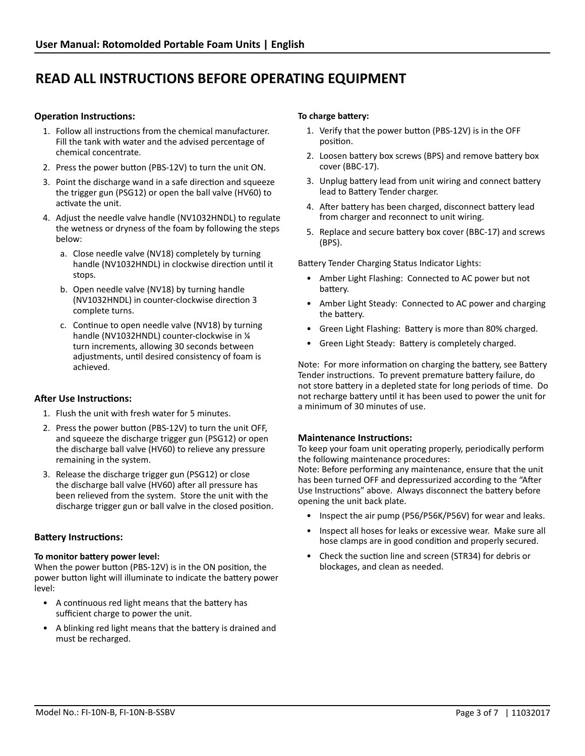## **Operation Instructions:**

- 1. Follow all instructions from the chemical manufacturer. Fill the tank with water and the advised percentage of chemical concentrate.
- 2. Press the power button (PBS-12V) to turn the unit ON.
- 3. Point the discharge wand in a safe direction and squeeze the trigger gun (PSG12) or open the ball valve (HV60) to activate the unit.
- 4. Adjust the needle valve handle (NV1032HNDL) to regulate the wetness or dryness of the foam by following the steps below:
	- a. Close needle valve (NV18) completely by turning handle (NV1032HNDL) in clockwise direction until it stops.
	- b. Open needle valve (NV18) by turning handle (NV1032HNDL) in counter-clockwise direction 3 complete turns.
	- c. Continue to open needle valve (NV18) by turning handle (NV1032HNDL) counter-clockwise in ¼ turn increments, allowing 30 seconds between adjustments, until desired consistency of foam is achieved.

# **After Use Instructions:**

- 1. Flush the unit with fresh water for 5 minutes.
- 2. Press the power button (PBS-12V) to turn the unit OFF, and squeeze the discharge trigger gun (PSG12) or open the discharge ball valve (HV60) to relieve any pressure remaining in the system.
- 3. Release the discharge trigger gun (PSG12) or close the discharge ball valve (HV60) after all pressure has been relieved from the system. Store the unit with the discharge trigger gun or ball valve in the closed position.

#### **Battery Instructions:**

#### **To monitor battery power level:**

When the power button (PBS-12V) is in the ON position, the power button light will illuminate to indicate the battery power level:

- A continuous red light means that the battery has sufficient charge to power the unit.
- A blinking red light means that the battery is drained and must be recharged.

#### **To charge battery:**

- 1. Verify that the power button (PBS-12V) is in the OFF position.
- 2. Loosen battery box screws (BPS) and remove battery box cover (BBC-17).
- 3. Unplug battery lead from unit wiring and connect battery lead to Battery Tender charger.
- 4. After battery has been charged, disconnect battery lead from charger and reconnect to unit wiring.
- 5. Replace and secure battery box cover (BBC-17) and screws (BPS).

Battery Tender Charging Status Indicator Lights:

- Amber Light Flashing: Connected to AC power but not battery.
- Amber Light Steady: Connected to AC power and charging the battery.
- Green Light Flashing: Battery is more than 80% charged.
- Green Light Steady: Battery is completely charged.

Note: For more information on charging the battery, see Battery Tender instructions. To prevent premature battery failure, do not store battery in a depleted state for long periods of time. Do not recharge battery until it has been used to power the unit for a minimum of 30 minutes of use.

#### **Maintenance Instructions:**

To keep your foam unit operating properly, periodically perform the following maintenance procedures:

Note: Before performing any maintenance, ensure that the unit has been turned OFF and depressurized according to the "After Use Instructions" above. Always disconnect the battery before opening the unit back plate.

- Inspect the air pump (P56/P56K/P56V) for wear and leaks.
- Inspect all hoses for leaks or excessive wear. Make sure all hose clamps are in good condition and properly secured.
- Check the suction line and screen (STR34) for debris or blockages, and clean as needed.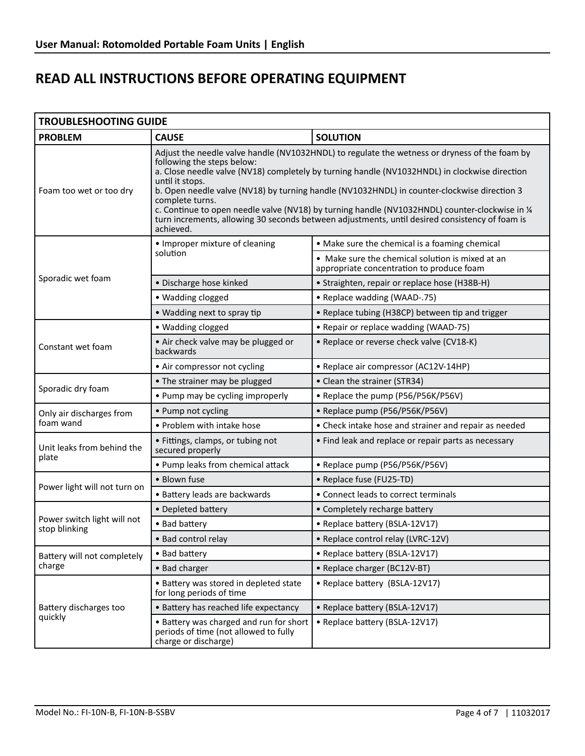| <b>TROUBLESHOOTING GUIDE</b>                 |                                                                                                                                                                                                                                                                                                                                                                                                                                                                                                                                                                                     |                                                                                               |  |  |
|----------------------------------------------|-------------------------------------------------------------------------------------------------------------------------------------------------------------------------------------------------------------------------------------------------------------------------------------------------------------------------------------------------------------------------------------------------------------------------------------------------------------------------------------------------------------------------------------------------------------------------------------|-----------------------------------------------------------------------------------------------|--|--|
| <b>PROBLEM</b>                               | <b>CAUSE</b>                                                                                                                                                                                                                                                                                                                                                                                                                                                                                                                                                                        | <b>SOLUTION</b>                                                                               |  |  |
| Foam too wet or too dry                      | Adjust the needle valve handle (NV1032HNDL) to regulate the wetness or dryness of the foam by<br>following the steps below:<br>a. Close needle valve (NV18) completely by turning handle (NV1032HNDL) in clockwise direction<br>until it stops.<br>b. Open needle valve (NV18) by turning handle (NV1032HNDL) in counter-clockwise direction 3<br>complete turns.<br>c. Continue to open needle valve (NV18) by turning handle (NV1032HNDL) counter-clockwise in 1/4<br>turn increments, allowing 30 seconds between adjustments, until desired consistency of foam is<br>achieved. |                                                                                               |  |  |
| Sporadic wet foam                            | • Improper mixture of cleaning                                                                                                                                                                                                                                                                                                                                                                                                                                                                                                                                                      | • Make sure the chemical is a foaming chemical                                                |  |  |
|                                              | solution                                                                                                                                                                                                                                                                                                                                                                                                                                                                                                                                                                            | • Make sure the chemical solution is mixed at an<br>appropriate concentration to produce foam |  |  |
|                                              | · Discharge hose kinked                                                                                                                                                                                                                                                                                                                                                                                                                                                                                                                                                             | • Straighten, repair or replace hose (H38B-H)                                                 |  |  |
|                                              | · Wadding clogged                                                                                                                                                                                                                                                                                                                                                                                                                                                                                                                                                                   | • Replace wadding (WAAD-.75)                                                                  |  |  |
|                                              | • Wadding next to spray tip                                                                                                                                                                                                                                                                                                                                                                                                                                                                                                                                                         | • Replace tubing (H38CP) between tip and trigger                                              |  |  |
| Constant wet foam                            | · Wadding clogged                                                                                                                                                                                                                                                                                                                                                                                                                                                                                                                                                                   | • Repair or replace wadding (WAAD-75)                                                         |  |  |
|                                              | • Air check valve may be plugged or<br>backwards                                                                                                                                                                                                                                                                                                                                                                                                                                                                                                                                    | • Replace or reverse check valve (CV18-K)                                                     |  |  |
|                                              | • Air compressor not cycling                                                                                                                                                                                                                                                                                                                                                                                                                                                                                                                                                        | • Replace air compressor (AC12V-14HP)                                                         |  |  |
| Sporadic dry foam                            | • The strainer may be plugged                                                                                                                                                                                                                                                                                                                                                                                                                                                                                                                                                       | • Clean the strainer (STR34)                                                                  |  |  |
|                                              | • Pump may be cycling improperly                                                                                                                                                                                                                                                                                                                                                                                                                                                                                                                                                    | • Replace the pump (P56/P56K/P56V)                                                            |  |  |
| Only air discharges from<br>foam wand        | • Pump not cycling                                                                                                                                                                                                                                                                                                                                                                                                                                                                                                                                                                  | • Replace pump (P56/P56K/P56V)                                                                |  |  |
|                                              | • Problem with intake hose                                                                                                                                                                                                                                                                                                                                                                                                                                                                                                                                                          | • Check intake hose and strainer and repair as needed                                         |  |  |
| Unit leaks from behind the<br>plate          | • Fittings, clamps, or tubing not<br>secured properly                                                                                                                                                                                                                                                                                                                                                                                                                                                                                                                               | • Find leak and replace or repair parts as necessary                                          |  |  |
|                                              | • Pump leaks from chemical attack                                                                                                                                                                                                                                                                                                                                                                                                                                                                                                                                                   | • Replace pump (P56/P56K/P56V)                                                                |  |  |
| Power light will not turn on                 | • Blown fuse                                                                                                                                                                                                                                                                                                                                                                                                                                                                                                                                                                        | • Replace fuse (FU25-TD)                                                                      |  |  |
|                                              | • Battery leads are backwards                                                                                                                                                                                                                                                                                                                                                                                                                                                                                                                                                       | • Connect leads to correct terminals                                                          |  |  |
| Power switch light will not<br>stop blinking | • Depleted battery                                                                                                                                                                                                                                                                                                                                                                                                                                                                                                                                                                  | • Completely recharge battery                                                                 |  |  |
|                                              | • Bad battery                                                                                                                                                                                                                                                                                                                                                                                                                                                                                                                                                                       | • Replace battery (BSLA-12V17)                                                                |  |  |
|                                              | • Bad control relay                                                                                                                                                                                                                                                                                                                                                                                                                                                                                                                                                                 | • Replace control relay (LVRC-12V)                                                            |  |  |
| Battery will not completely                  | • Bad battery                                                                                                                                                                                                                                                                                                                                                                                                                                                                                                                                                                       | • Replace battery (BSLA-12V17)                                                                |  |  |
| charge                                       | • Bad charger                                                                                                                                                                                                                                                                                                                                                                                                                                                                                                                                                                       | • Replace charger (BC12V-BT)                                                                  |  |  |
| Battery discharges too<br>quickly            | • Battery was stored in depleted state<br>for long periods of time                                                                                                                                                                                                                                                                                                                                                                                                                                                                                                                  | • Replace battery (BSLA-12V17)                                                                |  |  |
|                                              | • Battery has reached life expectancy                                                                                                                                                                                                                                                                                                                                                                                                                                                                                                                                               | • Replace battery (BSLA-12V17)                                                                |  |  |
|                                              | • Battery was charged and run for short<br>periods of time (not allowed to fully<br>charge or discharge)                                                                                                                                                                                                                                                                                                                                                                                                                                                                            | • Replace battery (BSLA-12V17)                                                                |  |  |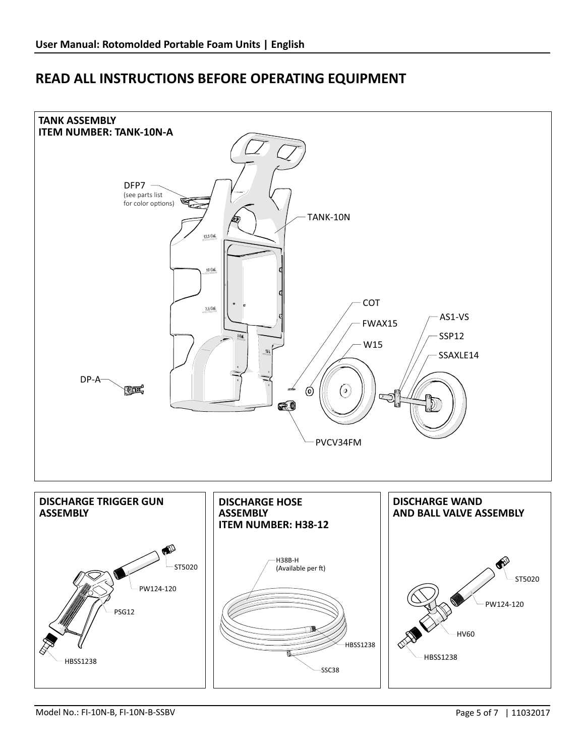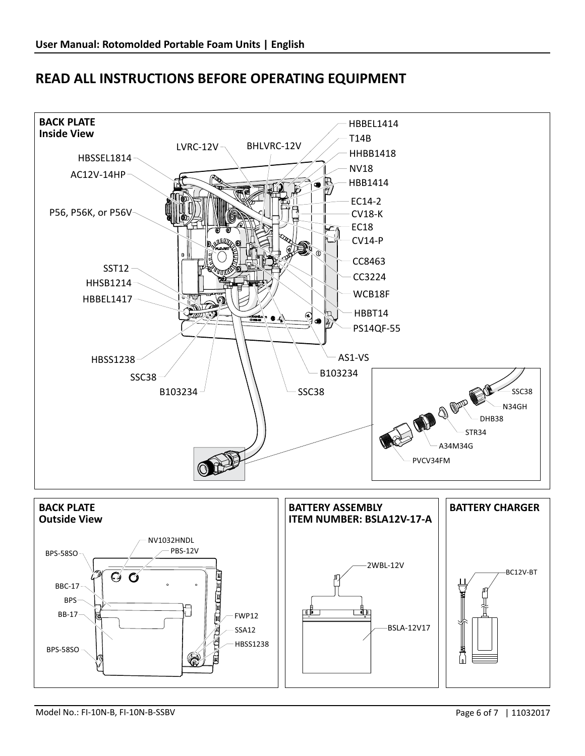